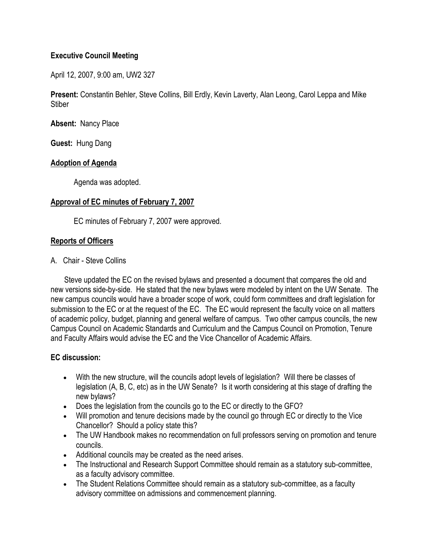## **Executive Council Meeting**

April 12, 2007, 9:00 am, UW2 327

**Present:** Constantin Behler, Steve Collins, Bill Erdly, Kevin Laverty, Alan Leong, Carol Leppa and Mike **Stiber** 

**Absent:** Nancy Place

**Guest:** Hung Dang

### **Adoption of Agenda**

Agenda was adopted.

### **Approval of EC minutes of February 7, 2007**

EC minutes of February 7, 2007 were approved.

## **Reports of Officers**

A. Chair - Steve Collins

 Steve updated the EC on the revised bylaws and presented a document that compares the old and new versions side-by-side. He stated that the new bylaws were modeled by intent on the UW Senate. The new campus councils would have a broader scope of work, could form committees and draft legislation for submission to the EC or at the request of the EC. The EC would represent the faculty voice on all matters of academic policy, budget, planning and general welfare of campus. Two other campus councils, the new Campus Council on Academic Standards and Curriculum and the Campus Council on Promotion, Tenure and Faculty Affairs would advise the EC and the Vice Chancellor of Academic Affairs.

## **EC discussion:**

- With the new structure, will the councils adopt levels of legislation? Will there be classes of legislation (A, B, C, etc) as in the UW Senate? Is it worth considering at this stage of drafting the new bylaws?
- Does the legislation from the councils go to the EC or directly to the GFO?
- Will promotion and tenure decisions made by the council go through EC or directly to the Vice Chancellor? Should a policy state this?
- The UW Handbook makes no recommendation on full professors serving on promotion and tenure councils.
- Additional councils may be created as the need arises.
- The Instructional and Research Support Committee should remain as a statutory sub-committee, as a faculty advisory committee.
- The Student Relations Committee should remain as a statutory sub-committee, as a faculty advisory committee on admissions and commencement planning.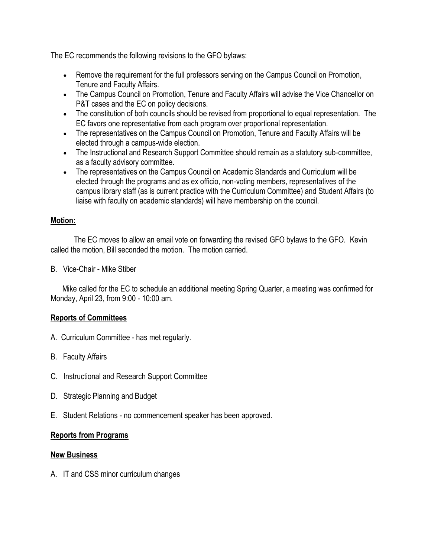The EC recommends the following revisions to the GFO bylaws:

- Remove the requirement for the full professors serving on the Campus Council on Promotion, Tenure and Faculty Affairs.
- The Campus Council on Promotion, Tenure and Faculty Affairs will advise the Vice Chancellor on P&T cases and the EC on policy decisions.
- The constitution of both councils should be revised from proportional to equal representation. The EC favors one representative from each program over proportional representation.
- The representatives on the Campus Council on Promotion, Tenure and Faculty Affairs will be elected through a campus-wide election.
- The Instructional and Research Support Committee should remain as a statutory sub-committee, as a faculty advisory committee.
- The representatives on the Campus Council on Academic Standards and Curriculum will be elected through the programs and as ex officio, non-voting members, representatives of the campus library staff (as is current practice with the Curriculum Committee) and Student Affairs (to liaise with faculty on academic standards) will have membership on the council.

# **Motion:**

 The EC moves to allow an email vote on forwarding the revised GFO bylaws to the GFO. Kevin called the motion, Bill seconded the motion. The motion carried.

B. Vice-Chair - Mike Stiber

 Mike called for the EC to schedule an additional meeting Spring Quarter, a meeting was confirmed for Monday, April 23, from 9:00 - 10:00 am.

# **Reports of Committees**

- A. Curriculum Committee has met regularly.
- B. Faculty Affairs
- C. Instructional and Research Support Committee
- D. Strategic Planning and Budget
- E. Student Relations no commencement speaker has been approved.

# **Reports from Programs**

## **New Business**

A. IT and CSS minor curriculum changes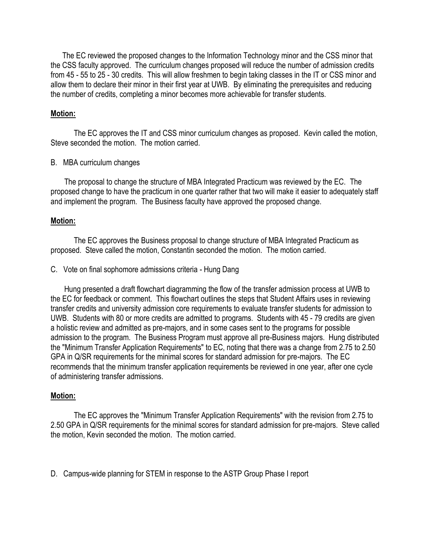The EC reviewed the proposed changes to the Information Technology minor and the CSS minor that the CSS faculty approved. The curriculum changes proposed will reduce the number of admission credits from 45 - 55 to 25 - 30 credits. This will allow freshmen to begin taking classes in the IT or CSS minor and allow them to declare their minor in their first year at UWB. By eliminating the prerequisites and reducing the number of credits, completing a minor becomes more achievable for transfer students.

### **Motion:**

 The EC approves the IT and CSS minor curriculum changes as proposed. Kevin called the motion, Steve seconded the motion. The motion carried.

#### B. MBA curriculum changes

 The proposal to change the structure of MBA Integrated Practicum was reviewed by the EC. The proposed change to have the practicum in one quarter rather that two will make it easier to adequately staff and implement the program. The Business faculty have approved the proposed change.

### **Motion:**

 The EC approves the Business proposal to change structure of MBA Integrated Practicum as proposed. Steve called the motion, Constantin seconded the motion. The motion carried.

#### C. Vote on final sophomore admissions criteria - Hung Dang

 Hung presented a draft flowchart diagramming the flow of the transfer admission process at UWB to the EC for feedback or comment. This flowchart outlines the steps that Student Affairs uses in reviewing transfer credits and university admission core requirements to evaluate transfer students for admission to UWB. Students with 80 or more credits are admitted to programs. Students with 45 - 79 credits are given a holistic review and admitted as pre-majors, and in some cases sent to the programs for possible admission to the program. The Business Program must approve all pre-Business majors. Hung distributed the "Minimum Transfer Application Requirements" to EC, noting that there was a change from 2.75 to 2.50 GPA in Q/SR requirements for the minimal scores for standard admission for pre-majors. The EC recommends that the minimum transfer application requirements be reviewed in one year, after one cycle of administering transfer admissions.

#### **Motion:**

 The EC approves the "Minimum Transfer Application Requirements" with the revision from 2.75 to 2.50 GPA in Q/SR requirements for the minimal scores for standard admission for pre-majors. Steve called the motion, Kevin seconded the motion. The motion carried.

D. Campus-wide planning for STEM in response to the ASTP Group Phase I report